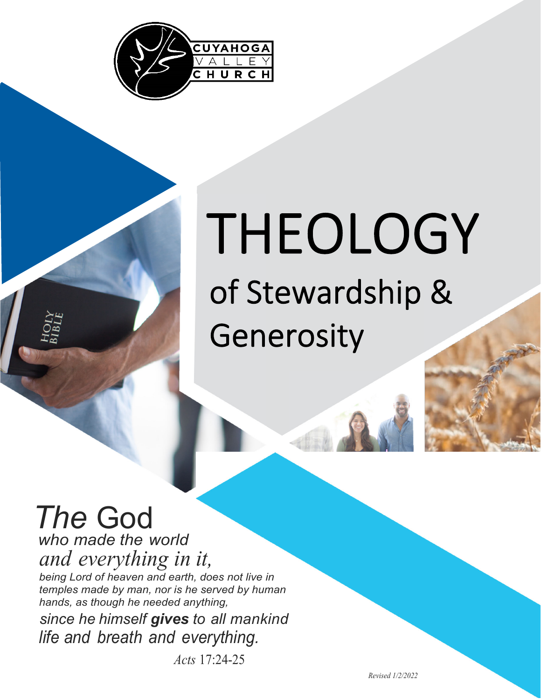

# THEOLOGY of Stewardship & Generosity

## *The* God

*who made the world and everything in it, being Lord of heaven and earth, does not live in temples made by man, nor is he served by human* 

*hands, as though he needed anything,* 

*since he himself gives to all mankind life and breath and everything.*

*Acts* 17:24-25

*Revised 1/2/2022*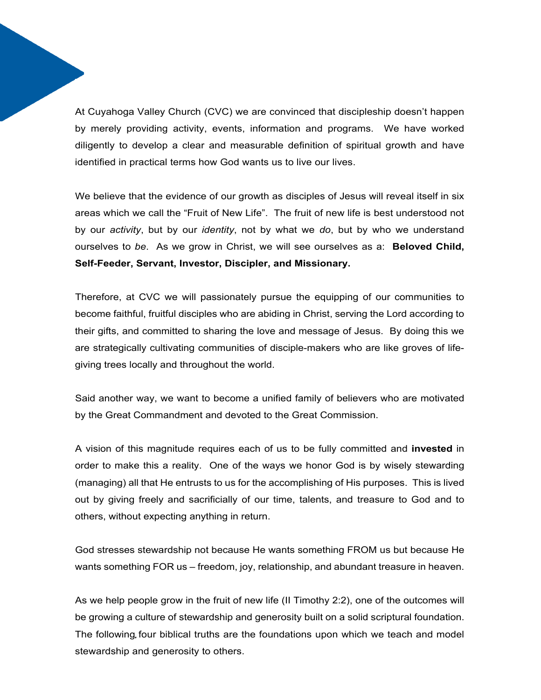At Cuyahoga Valley Church (CVC) we are convinced that discipleship doesn't happen by merely providing activity, events, information and programs. We have worked diligently to develop a clear and measurable definition of spiritual growth and have identified in practical terms how God wants us to live our lives.

We believe that the evidence of our growth as disciples of Jesus will reveal itself in six areas which we call the "Fruit of New Life". The fruit of new life is best understood not by our *activity*, but by our *identity*, not by what we *do*, but by who we understand ourselves to *be*. As we grow in Christ, we will see ourselves as a: **Beloved Child, Self-Feeder, Servant, Investor, Discipler, and Missionary.** 

Therefore, at CVC we will passionately pursue the equipping of our communities to become faithful, fruitful disciples who are abiding in Christ, serving the Lord according to their gifts, and committed to sharing the love and message of Jesus. By doing this we are strategically cultivating communities of disciple-makers who are like groves of lifegiving trees locally and throughout the world.

Said another way, we want to become a unified family of believers who are motivated by the Great Commandment and devoted to the Great Commission.

A vision of this magnitude requires each of us to be fully committed and **invested** in order to make this a reality. One of the ways we honor God is by wisely stewarding (managing) all that He entrusts to us for the accomplishing of His purposes. This is lived out by giving freely and sacrificially of our time, talents, and treasure to God and to others, without expecting anything in return.

God stresses stewardship not because He wants something FROM us but because He wants something FOR us – freedom, joy, relationship, and abundant treasure in heaven.

As we help people grow in the fruit of new life (II Timothy 2:2), one of the outcomes will be growing a culture of stewardship and generosity built on a solid scriptural foundation. The following four biblical truths are the foundations upon which we teach and model stewardship and generosity to others.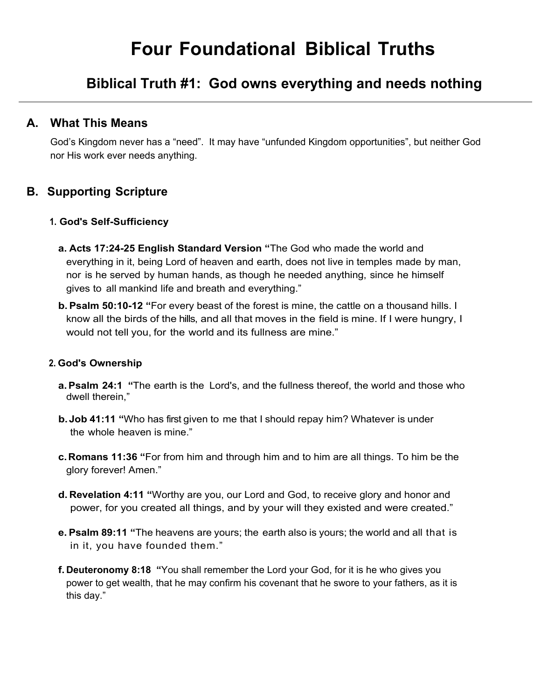### **Biblical Truth #1: God owns everything and needs nothing**

### **A. What This Means**

God's Kingdom never has a "need". It may have "unfunded Kingdom opportunities", but neither God nor His work ever needs anything.

### **B. Supporting Scripture**

#### **1. God's Self-Sufficiency**

- **a. Acts 17:24-25 English Standard Version "**The God who made the world and everything in it, being Lord of heaven and earth, does not live in temples made by man, nor is he served by human hands, as though he needed anything, since he himself gives to all mankind life and breath and everything."
- **b. Psalm 50:10-12 "**For every beast of the forest is mine, the cattle on a thousand hills. I know all the birds of the hills, and all that moves in the field is mine. If I were hungry, I would not tell you, for the world and its fullness are mine."

#### **2. God's Ownership**

- **a. Psalm 24:1 "**The earth is the Lord's, and the fullness thereof, the world and those who dwell therein,"
- **b. Job 41:11 "**Who has first given to me that I should repay him? Whatever is under the whole heaven is mine."
- **c. Romans 11:36 "**For from him and through him and to him are all things. To him be the glory forever! Amen."
- **d. Revelation 4:11 "**Worthy are you, our Lord and God, to receive glory and honor and power, for you created all things, and by your will they existed and were created."
- **e. Psalm 89:11 "**The heavens are yours; the earth also is yours; the world and all that is in it, you have founded them."
- **f. Deuteronomy 8:18 "**You shall remember the Lord your God, for it is he who gives you power to get wealth, that he may confirm his covenant that he swore to your fathers, as it is this day."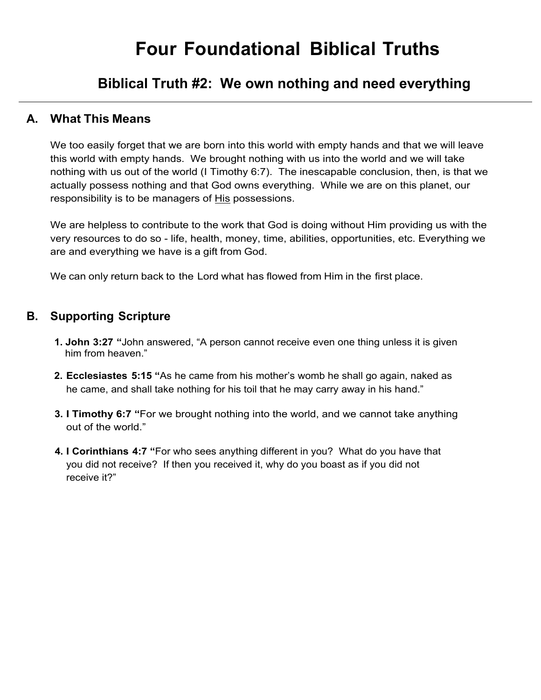### **Biblical Truth #2: We own nothing and need everything**

### **A. What This Means**

We too easily forget that we are born into this world with empty hands and that we will leave this world with empty hands. We brought nothing with us into the world and we will take nothing with us out of the world (I Timothy 6:7). The inescapable conclusion, then, is that we actually possess nothing and that God owns everything. While we are on this planet, our responsibility is to be managers of His possessions.

We are helpless to contribute to the work that God is doing without Him providing us with the very resources to do so - life, health, money, time, abilities, opportunities, etc. Everything we are and everything we have is a gift from God.

We can only return back to the Lord what has flowed from Him in the first place.

### **B. Supporting Scripture**

- **1. John 3:27 "**John answered, "A person cannot receive even one thing unless it is given him from heaven."
- **2. Ecclesiastes 5:15 "**As he came from his mother's womb he shall go again, naked as he came, and shall take nothing for his toil that he may carry away in his hand."
- **3. I Timothy 6:7 "**For we brought nothing into the world, and we cannot take anything out of the world."
- **4. I Corinthians 4:7 "**For who sees anything different in you? What do you have that you did not receive? If then you received it, why do you boast as if you did not receive it?"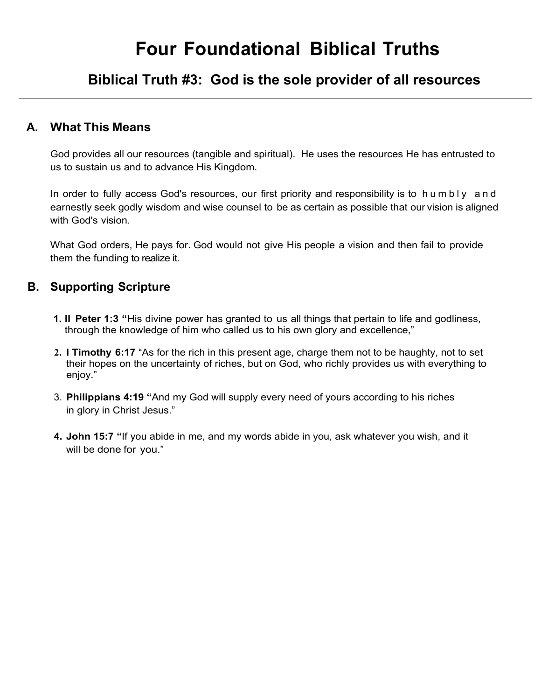### **Biblical Truth #3: God is the sole provider of all resources**

#### **A. What This Means**

God provides all our resources (tangible and spiritual). He uses the resources He has entrusted to us to sustain us and to advance His Kingdom.

In order to fully access God's resources, our first priority and responsibility is to humbly and earnestly seek godly wisdom and wise counsel to be as certain as possible that our vision is aligned with God's vision.

What God orders, He pays for. God would not give His people a vision and then fail to provide them the funding to realize it.

#### **B. Supporting Scripture**

- **1. II Peter 1:3 "**His divine power has granted to us all things that pertain to life and godliness, through the knowledge of him who called us to his own glory and excellence,"
- **2. I Timothy 6:17** "As for the rich in this present age, charge them not to be haughty, not to set their hopes on the uncertainty of riches, but on God, who richly provides us with everything to enjoy."
- 3. **Philippians 4:19 "**And my God will supply every need of yours according to his riches in glory in Christ Jesus."
- **4. John 15:7 "**If you abide in me, and my words abide in you, ask whatever you wish, and it will be done for you."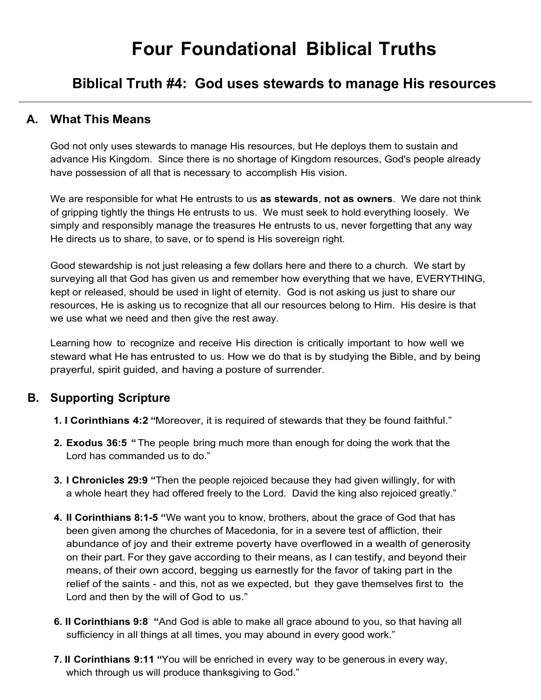### **Biblical Truth #4: God uses stewards to manage His resources**

#### **A. What This Means**

God not only uses stewards to manage His resources, but He deploys them to sustain and advance His Kingdom. Since there is no shortage of Kingdom resources, God's people already have possession of all that is necessary to accomplish His vision.

We are responsible for what He entrusts to us **as stewards**, **not as owners**. We dare not think of gripping tightly the things He entrusts to us. We must seek to hold everything loosely. We simply and responsibly manage the treasures He entrusts to us, never forgetting that any way He directs us to share, to save, or to spend is His sovereign right.

Good stewardship is not just releasing a few dollars here and there to a church. We start by surveying all that God has given us and remember how everything that we have, EVERYTHING, kept or released, should be used in light of eternity. God is not asking us just to share our resources, He is asking us to recognize that all our resources belong to Him. His desire is that we use what we need and then give the rest away.

Learning how to recognize and receive His direction is critically important to how well we steward what He has entrusted to us. How we do that is by studying the Bible, and by being prayerful, spirit guided, and having a posture of surrender.

### **B. Supporting Scripture**

- **1. I Corinthians 4:2 "**Moreover, it is required of stewards that they be found faithful."
- **2. Exodus 36:5 "**The people bring much more than enough for doing the work that the Lord has commanded us to do."
- **3. I Chronicles 29:9 "**Then the people rejoiced because they had given willingly, for with a whole heart they had offered freely to the Lord. David the king also rejoiced greatly."
- **4. II Corinthians 8:1-5 "**We want you to know, brothers, about the grace of God that has been given among the churches of Macedonia, for in a severe test of affliction, their abundance of joy and their extreme poverty have overflowed in a wealth of generosity on their part. For they gave according to their means, as I can testify, and beyond their means, of their own accord, begging us earnestly for the favor of taking part in the relief of the saints - and this, not as we expected, but they gave themselves first to the Lord and then by the will of God to us."
- **6. II Corinthians 9:8 "**And God is able to make all grace abound to you, so that having all sufficiency in all things at all times, you may abound in every good work."
- **7. II Corinthians 9:11 "**You will be enriched in every way to be generous in every way, which through us will produce thanksgiving to God."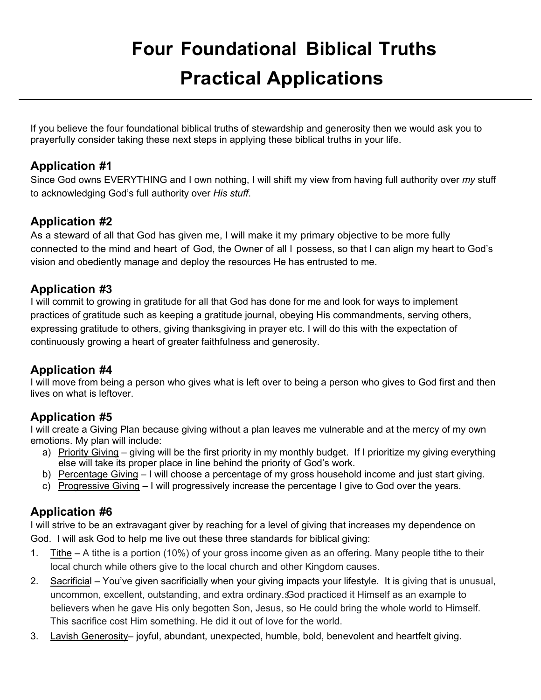### **Four Foundational Biblical Truths Practical Applications**

If you believe the four foundational biblical truths of stewardship and generosity then we would ask you to prayerfully consider taking these next steps in applying these biblical truths in your life.

### **Application #1**

Since God owns EVERYTHING and I own nothing, I will shift my view from having full authority over *my* stuff to acknowledging God's full authority over *His stuff*.

### **Application #2**

As a steward of all that God has given me, I will make it my primary objective to be more fully connected to the mind and heart of God, the Owner of all I possess, so that I can align my heart to God's vision and obediently manage and deploy the resources He has entrusted to me.

### **Application #3**

I will commit to growing in gratitude for all that God has done for me and look for ways to implement practices of gratitude such as keeping a gratitude journal, obeying His commandments, serving others, expressing gratitude to others, giving thanksgiving in prayer etc. I will do this with the expectation of continuously growing a heart of greater faithfulness and generosity.

### **Application #4**

I will move from being a person who gives what is left over to being a person who gives to God first and then lives on what is leftover.

### **Application #5**

I will create a Giving Plan because giving without a plan leaves me vulnerable and at the mercy of my own emotions. My plan will include:

- a) Priority Giving giving will be the first priority in my monthly budget. If I prioritize my giving everything else will take its proper place in line behind the priority of God's work.
- b) Percentage Giving I will choose a percentage of my gross household income and just start giving.
- c) Progressive Giving I will progressively increase the percentage I give to God over the years.

### **Application #6**

I will strive to be an extravagant giver by reaching for a level of giving that increases my dependence on God. I will ask God to help me live out these three standards for biblical giving:

- 1. Tithe A tithe is a portion (10%) of your gross income given as an offering. Many people tithe to their local church while others give to the local church and other Kingdom causes.
- 2. Sacrificial You've given sacrificially when your giving impacts your lifestyle. It is giving that is unusual, uncommon, excellent, outstanding, and extra ordinary.God practiced it Himself as an example to believers when he gave His only begotten Son, Jesus, so He could bring the whole world to Himself. This sacrifice cost Him something. He did it out of love for the world.
- 3. Lavish Generosity– joyful, abundant, unexpected, humble, bold, benevolent and heartfelt giving.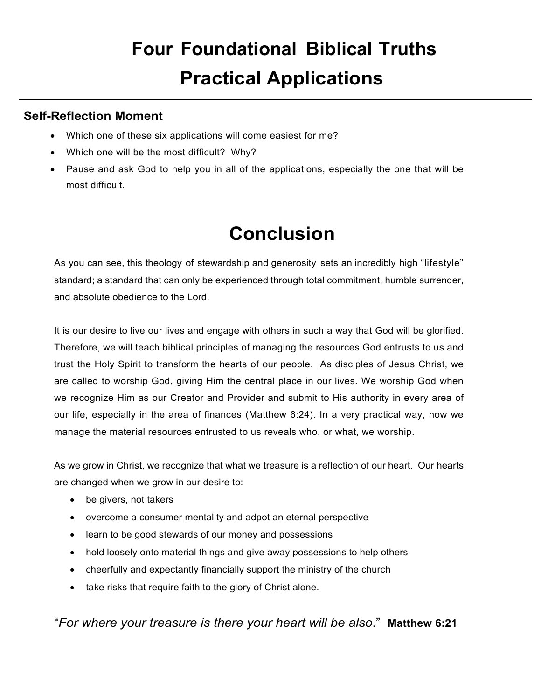### **Four Foundational Biblical Truths Practical Applications**

### **Self-Reflection Moment**

- Which one of these six applications will come easiest for me?
- Which one will be the most difficult? Why?
- Pause and ask God to help you in all of the applications, especially the one that will be most difficult.

### **Conclusion**

As you can see, this theology of stewardship and generosity sets an incredibly high "lifestyle" standard; a standard that can only be experienced through total commitment, humble surrender, and absolute obedience to the Lord.

It is our desire to live our lives and engage with others in such a way that God will be glorified. Therefore, we will teach biblical principles of managing the resources God entrusts to us and trust the Holy Spirit to transform the hearts of our people. As disciples of Jesus Christ, we are called to worship God, giving Him the central place in our lives. We worship God when we recognize Him as our Creator and Provider and submit to His authority in every area of our life, especially in the area of finances (Matthew 6:24). In a very practical way, how we manage the material resources entrusted to us reveals who, or what, we worship.

As we grow in Christ, we recognize that what we treasure is a reflection of our heart. Our hearts are changed when we grow in our desire to:

- be givers, not takers
- overcome a consumer mentality and adpot an eternal perspective
- learn to be good stewards of our money and possessions
- hold loosely onto material things and give away possessions to help others
- cheerfully and expectantly financially support the ministry of the church
- take risks that require faith to the glory of Christ alone.

"*For where your treasure is there your heart will be also*." **Matthew 6:21**